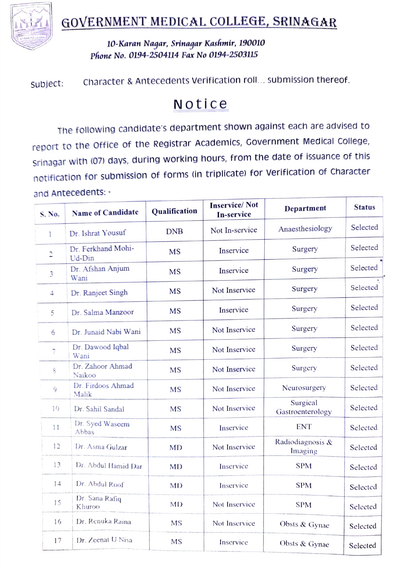

## i GOVERNMENT MEDICAL COLLEGE, SRINAGAR

10-Karan Nagar, Srinaqar Kashmir, 190010 Phone No. 0194-2504114 Fax No 0194-2503115

Subject: Character & Antecedents Verification roll... submission thereof.

## Notice

The following candidate's department shown against each are advised to report to the Office of the Registrar Academics, Government Medical College, Srinagar with (07) days, during working hours, from the date of issuance of this notification for submission of forms (in triplicate) for verification of Character and Antecedents: -

| S. No.              | <b>Name of Candidate</b>     | <b>Qualification</b> | <b>Inservice/Not</b><br><b>In-service</b> | Department                   | <b>Status</b> |
|---------------------|------------------------------|----------------------|-------------------------------------------|------------------------------|---------------|
| ĩ                   | Dr. Ishrat Yousuf            | <b>DNB</b>           | Not In-service                            | Anaesthesiology              | Selected      |
| 2                   | Dr. Ferkhand Mohi-<br>Ud-Din | <b>MS</b>            | Inservice                                 | Surgery                      | Selected      |
| 3                   | Dr. Afshan Anjum<br>Wani     | <b>MS</b>            | Inservice                                 | Surgery                      | Selected      |
| 4                   | Dr. Ranjeet Singh            | MS                   | Not Inservice                             | Surgery                      | Selected      |
| 5                   | Dr. Salma Manzoor            | <b>MS</b>            | Inservice                                 | Surgery                      | Selected      |
| 6                   | Dr. Junaid Nabi Wani         | <b>MS</b>            | Not Inservice                             | Surgery                      | Selected      |
| $\overline{\gamma}$ | Dr. Dawood Iqbal<br>Wani     | <b>MS</b>            | Not Inservice                             | Surgery                      | Selected      |
| 8                   | Dr. Zahoor Ahmad<br>Naikoo   | <b>MS</b>            | Not Inservice                             | Surgery                      | Selected      |
| 9                   | Dr. Firdoos Ahmad<br>Malik   | <b>MS</b>            | Not Inservice                             | Neurosurgery                 | Selected      |
| 10                  | Dr. Sahil Sandal             | <b>MS</b>            | Not Inservice                             | Surgical<br>Gastroenterology | Selected      |
| 11                  | Dr. Syed Waseem<br>Abbas     | <b>MS</b>            | Inservice                                 | <b>ENT</b>                   | Selected      |
| 12                  | Dr. Asma Gulzar              | <b>MD</b>            | Not Inservice                             | Radiodiagnosis &<br>Imaging  | Selected      |
| 13                  | Dr. Abdul Hamid Dar          | <b>MD</b>            | Inservice                                 | <b>SPM</b>                   | Selected      |
| 14                  | Dr. Abdul Roof               | <b>MD</b>            | Inservice                                 | <b>SPM</b>                   | Selected      |
| 15                  | Dr. Sana Rafiq<br>Khuroo     | MD                   | Not Inservice                             | <b>SPM</b>                   | Selected      |
| 16                  | Dr. Renuka Raina             | <b>MS</b>            | Not Inservice                             | Obsts & Gynae                | Selected      |
| 17                  | Dr. Zeenat U Nisa            | MS                   | Inservice                                 | Obsts & Gynae                | Selected      |